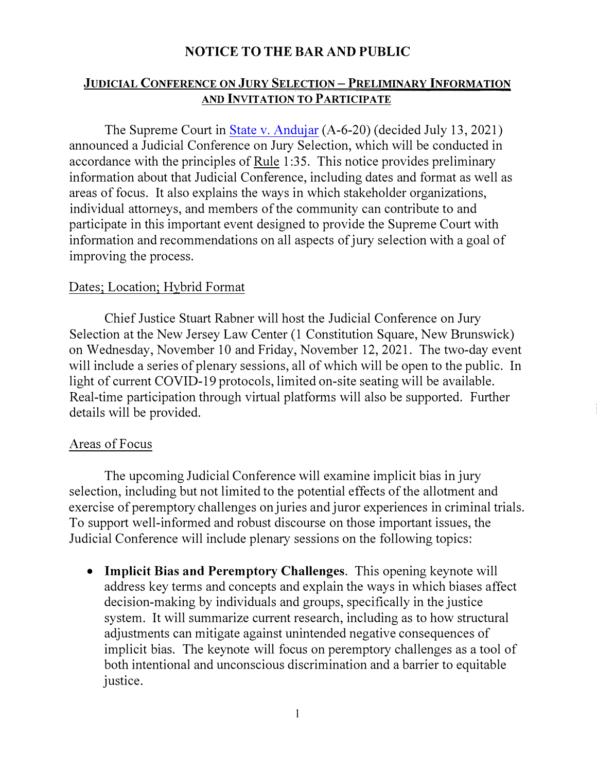## **NOTICE TO THE BAR AND PUBLIC**

### **JUDICIAL CONFERENCE ON JURY SELECTION - PRELIMINARY INFORMATION AND INVITATION TO PARTICIPATE**

The Supreme Court in [State v. Andujar](https://www.njcourts.gov/attorneys/assets/opinions/supreme/a_6_20.pdf?c=saQ) (A-6-20) (decided July 13, 2021) announced a Judicial Conference on Jury Selection, which will be conducted in accordance with the principles of Rule 1 :35. This notice provides preliminary information about that Judicial Conference, including dates and format as well as areas of focus. It also explains the ways in which stakeholder organizations, individual attorneys, and members of the community can contribute to and participate in this important event designed to provide the Supreme Court with information and recommendations on all aspects of jury selection with a goal of improving the process.

### Dates; Location; Hybrid Format

Chief Justice Stuart Rabner will host the Judicial Conference on Jury Selection at the New Jersey Law Center (1 Constitution Square, New Brunswick) on Wednesday, November 10 and Friday, November 12, 2021. The two-day event will include a series of plenary sessions, all of which will be open to the public. In light of current COVID-19 protocols, limited on-site seating will be available. Real-time participation through virtual platforms will also be supported. Further details will be provided.

#### Areas of Focus

The upcoming Judicial Conference will examine implicit bias in jury selection, including but not limited to the potential effects of the allotment and exercise of peremptory challenges on juries and juror experiences in criminal trials. To support well-informed and robust discourse on those important issues, the Judicial Conference will include plenary sessions on the following topics:

• **Implicit Bias and Peremptory Challenges.** This opening keynote will address key terms and concepts and explain the ways in which biases affect decision-making by individuals and groups, specifically in the justice system. It will summarize current research, including as to how structural adjustments can mitigate against unintended negative consequences of implicit bias. The keynote will focus on peremptory challenges as a tool of both intentional and unconscious discrimination and a barrier to equitable justice.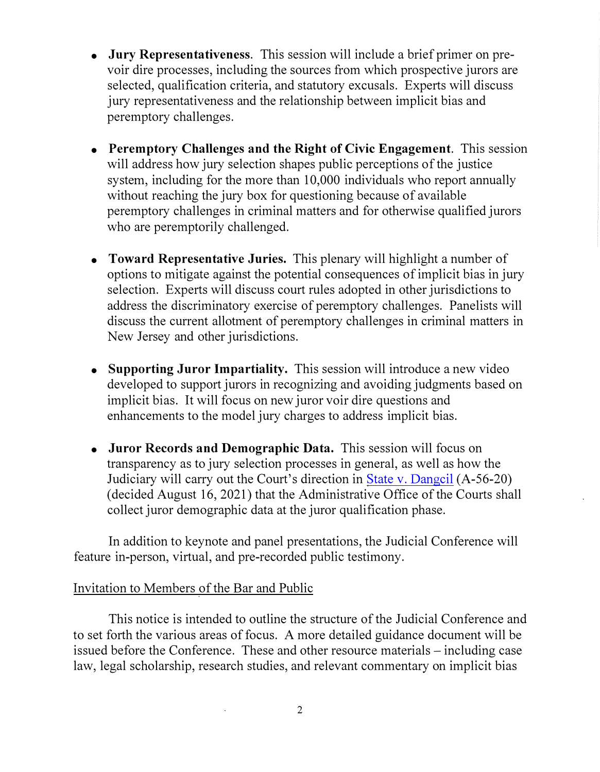- **Jury Representativeness.** This session will include a brief primer on prevoir dire processes, including the sources from which prospective jurors are selected, qualification criteria, and statutory excusals. Experts will discuss jury representativeness and the relationship between implicit bias and peremptory challenges.
- **Peremptory Challenges and the Right of Civic Engagement.** This session will address how jury selection shapes public perceptions of the justice system, including for the more than 10,000 individuals who report annually without reaching the jury box for questioning because of available peremptory challenges in criminal matters and for otherwise qualified jurors who are peremptorily challenged.
- **Toward Representative Juries.** This plenary will highlight a number of options to mitigate against the potential consequences of implicit bias in jury selection. Experts will discuss court rules adopted in other jurisdictions to address the discriminatory exercise of peremptory challenges. Panelists will discuss the current allotment of peremptory challenges in criminal matters in New Jersey and other jurisdictions.
- **Supporting Juror Impartiality.** This session will introduce a new video developed to support jurors in recognizing and avoiding judgments based on implicit bias. It will focus on new juror voir dire questions and enhancements to the model jury charges to address implicit bias.
- **Juror Records and Demographic Data.** This session will focus on transparency as [to ju](https://www.njcourts.gov/attorneys/assets/opinions/supreme/a_56_20.pdf?c=DGM)ry selection processes in general, as well as how the Judiciary will carry out the Court's direction in [State v. Dangcil](https://www.njcourts.gov/attorneys/assets/opinions/supreme/a_56_20.pdf?c=DGM) (A-56-20) ( decided August 16, 2021) that the Administrative Office of the Courts shall collect juror demographic data at the juror qualification phase.

In addition to keynote and panel presentations, the Judicial Conference will feature in-person, virtual, and pre-recorded public testimony.

# Invitation to Members of the Bar and Public

This notice is intended to outline the structure of the Judicial Conference and to set forth the various areas of focus. A more detailed guidance document will be issued before the Conference. These and other resource materials – including case law, legal scholarship, research studies, and relevant commentary on implicit bias